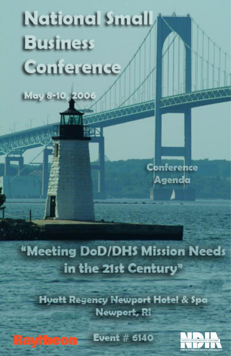# **Netional Smell Business Conference**

May 8-10, 2006

**CONTROL BOOM AND** 

Conference Agenda

"Meeting DoD/DHS Mission Needs in the 21st Century"

**Hyatt Regency Newport Hotel & Spa** Newport, RI

**Event # 6140 Raytheon** 

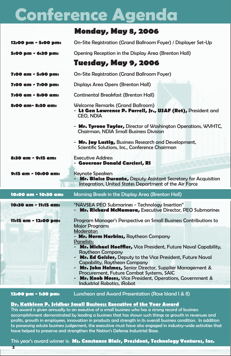# **Conference Agenda**

|                      | <b>Monday, May 8, 2006</b>                                                                                                                                                                                                                                                                                                                                                                                                                                                        |  |  |
|----------------------|-----------------------------------------------------------------------------------------------------------------------------------------------------------------------------------------------------------------------------------------------------------------------------------------------------------------------------------------------------------------------------------------------------------------------------------------------------------------------------------|--|--|
| 12:00 pm - 5:00 pm:  | On-Site Registration (Grand Ballroom Foyer) / Displayer Set-Up                                                                                                                                                                                                                                                                                                                                                                                                                    |  |  |
| 5:00 pm - 6:30 pm:   | Opening Reception in the Display Area (Brenton Hall)                                                                                                                                                                                                                                                                                                                                                                                                                              |  |  |
|                      | Tue <b>sday, May 9, 200</b> 6                                                                                                                                                                                                                                                                                                                                                                                                                                                     |  |  |
| 7:00 am - 5:00 pm:   | On-Site Registration (Grand Ballroom Foyer)                                                                                                                                                                                                                                                                                                                                                                                                                                       |  |  |
| 7:00 am - 7:00 pm:   | Displays Area Opens (Brenton Hall)                                                                                                                                                                                                                                                                                                                                                                                                                                                |  |  |
| 7:00 am - 8:00 am:   | <b>Continental Breakfast (Brenton Hall)</b>                                                                                                                                                                                                                                                                                                                                                                                                                                       |  |  |
| 8:00 am- 8:30 am:    | <b>Welcome Remarks (Grand Ballroom)</b><br>- Lt Gen Lawrence P. Farrell, Jr., USAF (Ret), President and<br>CEO, NDIA                                                                                                                                                                                                                                                                                                                                                              |  |  |
|                      | - Mr. Tyrone Taylor, Director of Washington Operations, WVHTC,<br>Chairman, NDIA Small Business Division                                                                                                                                                                                                                                                                                                                                                                          |  |  |
|                      | - Mr. Jay Lustig, Business Research and Development,<br>Scientific Solutions, Inc., Conference Chairman                                                                                                                                                                                                                                                                                                                                                                           |  |  |
| 8:30 am - 9:15 am:   | <b>Executive Address</b><br>- Governor Donald Carcieri, RI                                                                                                                                                                                                                                                                                                                                                                                                                        |  |  |
| 9:15 am - 10:00 am:  | <b>Keynote Speakers</b><br>Mr. Blaise Durante, Deputy Assistant Secretary for Acquisition<br>Integration, United States Department of the Air Force                                                                                                                                                                                                                                                                                                                               |  |  |
| 10:00 am - 10:30 am: | Morning Break in the Display Area (Brenton Hall)                                                                                                                                                                                                                                                                                                                                                                                                                                  |  |  |
| 10:30 am - 11:15 am: | "NAVSEA PEO Submarines - Technology Insertion"<br>Mr. Richard McNamara, Executive Director, PEO Submarines                                                                                                                                                                                                                                                                                                                                                                        |  |  |
| 11:15 am - 12:00 pm: | Program Manager's Perspective on Small Business Contributions to<br><b>Major Programs</b><br>Moderator:<br>- Mr. Norm Harkins, Raytheon Company<br>Panelists:<br><b>Mr. Michael Hoeffler, Vice President, Future Naval Capability,</b><br><b>Raytheon Company</b><br>- Mr. Ed Geisler, Deputy to the Vice President, Future Naval<br><b>Capability, Raytheon Company</b><br>- Mr. John Holmes, Senior Director, Supplier Management &<br>Procurement, Future Combat Systems, SAIC |  |  |

**12:00 pm - 1:30 pm:** Luncheon and Award Presentation (Rose Island I & II)

#### **Dr. Kathleen P. Sridhar Small Business Executive of the Year Award**

This award is given annually to an exeutive of a small business who has a strong record of business accomplishment demonstrated by leading a business that has shown such things as growth in revenues and profits, growth in employees, innovation in products and strength in its overall business condition. In addition to possessing astute business judgement, the executive must have also engaged in industry-wide activities that have helped to preserve and strengthen the Nation's Defense Industrial Base.

This year's award winner is: **Ms. Constance Blair, President, Technology Ventures, Inc.**

 $\overline{\mathbf{r}}$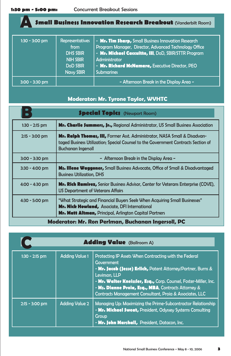**A**

# **Small Business Innovation Research Breakout** (Vanderbilt Room)

| $1:30 - 3:00$ pm | <b>Representatives</b><br>from<br><b>DHS SBIR</b><br><b>NIH SBIR</b><br><b>DoD SBIR</b><br>Navy SBIR | - Mr. Tim Sharp, Small Business Innovation Research<br>Program Manager, Director, Advanced Technology Office<br>- Mr. Michael Caccuitto, III, DoD, SBIR/STTR Program<br>Administrator<br>- Mr. Richard McNamara, Executive Director, PEO<br><b>Submarines</b> |
|------------------|------------------------------------------------------------------------------------------------------|---------------------------------------------------------------------------------------------------------------------------------------------------------------------------------------------------------------------------------------------------------------|
| $3:00 - 3:30$ pm |                                                                                                      | - Afternoon Break in the Display Area -                                                                                                                                                                                                                       |

## **Moderator: Mr. Tyrone Taylor, WVHTC**

| <b>Special Topics</b> (Newport Room)               |                                                                                                                                                                                                         |  |  |  |
|----------------------------------------------------|---------------------------------------------------------------------------------------------------------------------------------------------------------------------------------------------------------|--|--|--|
| $1:30 - 2:15$ pm                                   | <b>Mr. Charlie \$ummers, Jr., Regional Administrator, US Small Business Association</b>                                                                                                                 |  |  |  |
| $2:15 - 3:00$ pm                                   | <b>Mr. Ralph Thomas, III, Former Asst. Administrator, NASA Small &amp; Disadvan-</b><br>taged Business Utilization; Special Counsel to the Government Contracts Section of<br><b>Buchanan Ingersoll</b> |  |  |  |
| $3:00 - 3:30$ pm                                   | $\sim$ Afternoon Break in the Display Area $\sim$                                                                                                                                                       |  |  |  |
| $3:30 - 4:00 \text{ pm}$                           | <b>Ms. Illene Waggoner,</b> Small Business Advocate, Office of Small & Disadvantaged<br><b>Business Utilization, DHS</b>                                                                                |  |  |  |
| $4:00 - 4:30$ pm                                   | <b>Mr. Rich Ramirez,</b> Senior Business Advisor, Center for Veterans Enterprise (COVE),<br>US Department of Veterans Affairs                                                                           |  |  |  |
| $4:30 - 5:00$ pm                                   | "What Strategic and Financial Buyers Seek When Acquiring Small Businesses"<br>Mr. Nick Howland, Associate, DFI International<br><b>Mr. Matt Altman, Principal, Arlington Capital Partners</b>           |  |  |  |
| Moderator: Mr. Ron Perlman, Buchanan Ingersoll, PC |                                                                                                                                                                                                         |  |  |  |

| <b>Adding Value</b> (Ballroom A) |                       |                                                                                                                                                                                                                                                                                                                                                                        |  |
|----------------------------------|-----------------------|------------------------------------------------------------------------------------------------------------------------------------------------------------------------------------------------------------------------------------------------------------------------------------------------------------------------------------------------------------------------|--|
| $1:30 - 2:15$ pm                 | <b>Adding Value 1</b> | Protecting IP Assets When Contracting with the Federal<br>Government<br>- Mr. Jacob (Jesse) Erlich, Patent Attorney/Partner, Burns &<br>Levinson, LLP<br>- Mr. Walter Kneissler, Esq., Corp. Counsel, Foster-Miller, Inc.<br>- M <sub>3</sub> . Dianne Proia, E <sub>3</sub> q., MBA, Contracts Attorney &<br>Contracts Management Consultant. Proja & Associates. LLC |  |
| $2:15 - 3:00$ pm                 | <b>Adding Value 2</b> | Managing Up: Maximizing the Prime-Subcontractor Relationship<br>- Mr. Michael Sweat, President, Odyssey Systems Consulting<br>Group<br>- Mr. John Marshall, President, Datacon, Inc.                                                                                                                                                                                   |  |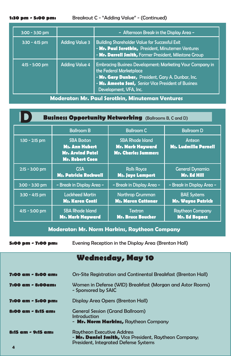#### **1:30 pm - 5:00 pm:** Breakout C - "Adding Value" - (Continued)

| $3:00 - 3:30$ pm |                       | ~ Afternoon Break in the Display Area ~                                                                                                                                                                                             |  |
|------------------|-----------------------|-------------------------------------------------------------------------------------------------------------------------------------------------------------------------------------------------------------------------------------|--|
| $3:30 - 4:15$ pm | <b>Adding Value 3</b> | <b>Building Shareholder Value for Successful Exit</b><br>- Mr. Paul Serotkin, President, Minutemen Ventures<br>- Mr. Darrell \$mith, Former President, Milestone Group                                                              |  |
| $4:15 - 5:00$ pm | <b>Adding Value 4</b> | <b>Embracing Business Development: Marketing Your Company in</b><br>the Federal Marketplace<br>- Mr. Gary Dunbar, President, Gary A. Dunbar, Inc.<br>- Ms. Ameeta Soni, Senior Vice President of Business<br>Development, VFA, Inc. |  |

**Moderator: Mr. Paul Serotkin, Minuteman Ventures**

| <b>Business Opportunity Networking</b> (Ballrooms B, C and D) |                                                                                                 |                                                                                  |                                                 |  |  |
|---------------------------------------------------------------|-------------------------------------------------------------------------------------------------|----------------------------------------------------------------------------------|-------------------------------------------------|--|--|
|                                                               | <b>Ballroom B</b>                                                                               | <b>Ballroom C</b>                                                                | <b>Ballroom D</b>                               |  |  |
| $1:30 - 2:15$ pm                                              | <b>SBA Boston</b><br><b>Ms. Ann Hubert</b><br><b>Mr. Arvind Patel</b><br><b>Mr. Robert Coen</b> | <b>SBA Rhode Island</b><br><b>Mr. Mark Hayward</b><br><b>Mr. Charles Summers</b> | Anteon<br><b>Ms. Ludmilla Parnell</b>           |  |  |
| $2:15 - 3:00$ pm                                              | <b>GSA</b><br><b>Ms. Patricia Rockwell</b>                                                      | <b>Rolls Royce</b><br><b>Ms. Jaye Lampert</b>                                    | <b>General Dynamics</b><br>Mr. Ed Hill          |  |  |
| $3:00 - 3:30$ pm                                              | ~ Break in Display Area ~                                                                       | ~ Break in Display Area ~                                                        | ~ Break in Display Area ~                       |  |  |
| $3:30 - 4:15$ pm                                              | <b>Lockheed Martin</b><br><b>Ms. Karen Conti</b>                                                | <b>Northrop Grumman</b><br><b>Ms. Maren Cattonar</b>                             | <b>BAE Systems</b><br><b>Mr. Wayne Patrick</b>  |  |  |
| $4:15 - 5:00$ pm                                              | <b>SBA Rhode Island</b><br><b>Mr. Mark Hayward</b>                                              | <b>Textron</b><br><b>Mr. Bruce Boucher</b>                                       | <b>Raytheon Company</b><br><b>Mr. Ed Bogacz</b> |  |  |

### **Moderator: Mr. Norm Harkins, Raytheon Company**

**5:00 pm - 7:00 pm:** Evening Reception in the Display Area (Brenton Hall)

# **Wednesday, May 10**

| <b>7:00 am - 8:00 am:</b> | On-Site Registration and Continental Breakfast (Brenton Hall)                                                                              |
|---------------------------|--------------------------------------------------------------------------------------------------------------------------------------------|
| 7:00 am - 8:00am:         | Women in Defense (WID) Breakfast (Morgan and Astor Rooms)<br>- Sponsored by SAIC                                                           |
| 7:00 am - 5:00 pm:        | Display Area Opens (Brenton Hall)                                                                                                          |
| 8:00 am - 8:15 am:        | <b>General Session (Grand Ballroom)</b><br>Introduction<br>- Mr. Norm Harkins, Raytheon Company                                            |
| 8:15 am - 9:15 am:        | <b>Raytheon Executive Address</b><br>- Mr. Daniel Smith, Vice President, Raytheon Company;<br><b>President, Integrated Defense Systems</b> |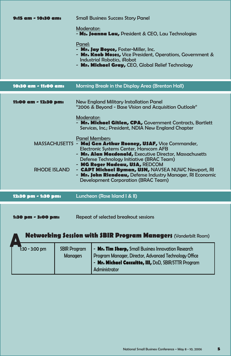| 9:15 am - 10:30 am:                  | <b>Small Business Success Story Panel</b>                                                                                                                                                                                                                                                                                                                                                                                                                                                                                                                                                                                                                                                          |
|--------------------------------------|----------------------------------------------------------------------------------------------------------------------------------------------------------------------------------------------------------------------------------------------------------------------------------------------------------------------------------------------------------------------------------------------------------------------------------------------------------------------------------------------------------------------------------------------------------------------------------------------------------------------------------------------------------------------------------------------------|
|                                      | Moderator:<br>- Ms. Joanna Lau, President & CEO. Lau Technologies                                                                                                                                                                                                                                                                                                                                                                                                                                                                                                                                                                                                                                  |
|                                      | Panel:<br>- Mr. Jay Boyce, Foster-Miller, Inc.<br>- Mr. Knob Moses, Vice President, Operations, Government &<br><b>Industrial Robotics, iRobot</b><br>- Mr. Michael Gray, CEO, Global Relief Technology                                                                                                                                                                                                                                                                                                                                                                                                                                                                                            |
| 10:30 am - 11:00 am:                 | Morning Break in the Display Area (Brenton Hall)                                                                                                                                                                                                                                                                                                                                                                                                                                                                                                                                                                                                                                                   |
| 11:00 am - 12:30 pm:<br>RHODE ISLAND | New England Military Installation Panel<br>"2006 & Beyond - Base Vision and Acquisition Outlook"<br>Moderator:<br>- Mr. Michael Gitlen, CPA, Government Contracts, Bartlett<br>Services, Inc.; President, NDIA New England Chapter<br><b>Panel Members:</b><br>MASSACHUSETTS - Maj Gen Arthur Rooney, U\$AF, Vice Commander,<br><b>Electronic Systems Center, Hanscom AFB</b><br>- Mr. Alan Macdonald, Executive Director, Massachusetts<br>Defense Technology Initiative (BRAC Team)<br>- MG Roger Nadeau, U\$A, REDCOM<br>- <b>CAPT Michael Byman, U\$N, NAVSEA NUWC Newport, RI</b><br>- Mr. John Riendeau, Defense Industry Manager, RI Economic<br><b>Development Corporation (BRAC Team)</b> |
| 12:30 pm - 1:30 pm:                  | Luncheon (Rose Island I & II)                                                                                                                                                                                                                                                                                                                                                                                                                                                                                                                                                                                                                                                                      |
| <b>1:30 pm - 3:00 pm:</b>            | Repeat of selected breakout sessions                                                                                                                                                                                                                                                                                                                                                                                                                                                                                                                                                                                                                                                               |

| <b>Networking Session with SBIR Program Managers (Vanderbilt Room)</b> |                                                                                                                                                                                                                                 |  |
|------------------------------------------------------------------------|---------------------------------------------------------------------------------------------------------------------------------------------------------------------------------------------------------------------------------|--|
| $\overline{1}$ :30 - 3:00 pm                                           | - Mr. Tim Sharp, Small Business Innovation Research<br><b>SBIR Program</b><br>Program Manager, Director, Advanced Technology Office<br><b>Managers</b><br>- Mr. Michael Caccuitto, III, DoD, SBIR/STTR Program<br>Administrator |  |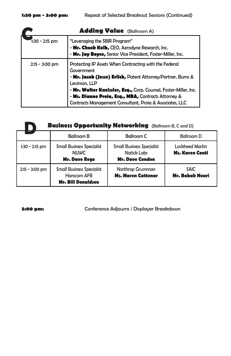| <b>Adding Value</b> (Ballroom A) |                                                                                                                                                                                                                                                                                                                                                            |  |  |
|----------------------------------|------------------------------------------------------------------------------------------------------------------------------------------------------------------------------------------------------------------------------------------------------------------------------------------------------------------------------------------------------------|--|--|
| 1:30 - 2:15 pm                   | "Leveraging the SBIR Program"<br>- Mr. Chuck Kolb, CEO, Aerodyne Research, Inc.<br>- Mr. Jay Boyce, Senior Vice President, Foster-Miller, Inc.                                                                                                                                                                                                             |  |  |
| $2:15 - 3:00 \text{ pm}$         | Protecting IP Assets When Contracting with the Federal<br>Government<br>- Mr. Jacob (Jesse) Erlich, Patent Attorney/Partner, Burns &<br>Levinson, LLP<br>- Mr. Walter Kneissler, Esq., Corp. Counsel, Foster-Miller, Inc.<br>- M <sub>\$</sub> . Dianne Proia, E;q., MBA, Contracts Attorney &<br>Contracts Management Consultant, Proia & Associates, LLC |  |  |

| <b>Business Opportunity Networking</b> (Ballroom B, C and D) |                                                                              |                                                                                  |                                                  |  |
|--------------------------------------------------------------|------------------------------------------------------------------------------|----------------------------------------------------------------------------------|--------------------------------------------------|--|
|                                                              | <b>Ballroom B</b>                                                            | <b>Ballroom C</b>                                                                | <b>Ballroom D</b>                                |  |
| $1:30 - 2:15$ pm                                             | <b>Small Business Specialist</b><br><b>NUWC</b><br><b>Mr. Dave Rego</b>      | <b>Small Business Specialist</b><br><b>Natick Labs</b><br><b>Mr. Dave Condon</b> | <b>Lockheed Martin</b><br><b>Ms. Karen Conti</b> |  |
| $2:15 - 3:00 \text{ pm}$                                     | <b>Small Business Specialist</b><br>Hanscom AFB<br><b>Mr. Bill Donaldson</b> | Northrop Grumman<br><b>Ms. Maren Cattonar</b>                                    | <b>SAIC</b><br><b>Mr. Babak Nouri</b>            |  |

**3:00 pm:** Conference Adjourns / Displayer Breakdown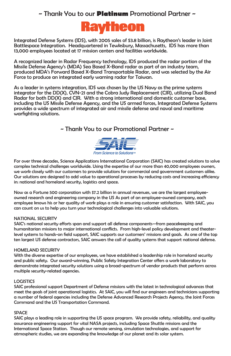# ~ Thank You to our **Platinum** Promotional Partner ~



Integrated Defense Systems (IDS), with 2005 sales of \$3.8 billion, is Raytheon's leader in Joint Battlespace Integration. Headquartered in Tewksbury, Massachusetts, IDS has more than 13,000 employees located at 17 mission centers and facilities worldwide.

A recognized leader in Radar Frequency technology, IDS produced the radar portion of the Missile Defense Agency's (MDA) Sea Based X-Band radar as part of an industry team, produced MDA's Forward Based X-Band Transportable Radar, and was selected by the Air Force to produce an integrated early warning radar for Taiwan.

As a leader in systems integration, IDS was chosen by the US Navy as the prime systems integrator for the DD(X), CVN-21 and the Cobra Judy Replacement (CJR), utilizing Dual Band Radar for both DD(X) and CJR. With a strong international and domestic customer base, including the US Missile Defense Agency, and the US armed forces, Integrated Defense Systems provides a wide spectrum of integrated air and missile defense and naval and maritime warfighting solutions.

### ~ Thank You to our Promotional Partner ~



For over three decades, Science Applications International Corporation (SAIC) has created solutions to solve complex technical challenges worldwide. Using the expertise of our more than 40,000 employees owners, we work closely with our customers to provide solutions for commercial and government customers alike. Our solutions are designed to add value to operational processes by reducing costs and increasing efficiency in: national and homeland security, logistics and space.

Now as a Fortune 500 corporation with \$7.2 billion in annual revenues, we are the largest employeeowned research and engineering company in the US As part of an employee-owned company, each employee knows his or her quality of work plays a role in ensuring customer satisfaction. With SAIC, you can count on us to help you turn your technological challenges into valuable solutions.

#### NATIONAL SECURITY

SAIC's national security efforts span and support all defense components—from peacekeeping and humanitarian missions to major international conflicts. From high-level policy development and theaterlevel systems to hands-on field support, SAIC supports our customers' missions and goals. As one of the top ten largest US defense contractors, SAIC answers the call of quality systems that support national defense.

#### HOMELAND SECURITY

With the diverse expertise of our employees, we have established a leadership role in homeland security and public safety. Our award-winning, Public Safety Integration Center offers a work laboratory to demonstrate integrated security solutions using a broad-spectrum of vendor products that perform across multiple security-related agencies.

#### LOGISTICS

SAIC professional support Department of Defense missions with the latest in technological advances that meet the goals of joint operational logistics. At SAIC, you will find our engineers and technicians supporting a number of federal agencies including the Defense Advanced Research Projects Agency, the Joint Forces Command and the US Transportation Command.

#### SPACE

SAIC plays a leading role in supporting the US space program. We provide safety, reliability, and quality assurance engineering support for vital NASA projects, including Space Shuttle missions and the International Space Station. Though our remote sensing, simulation technologies, and support for atmospheric studies, we are expanding the knowledge of our planet and its solar system.